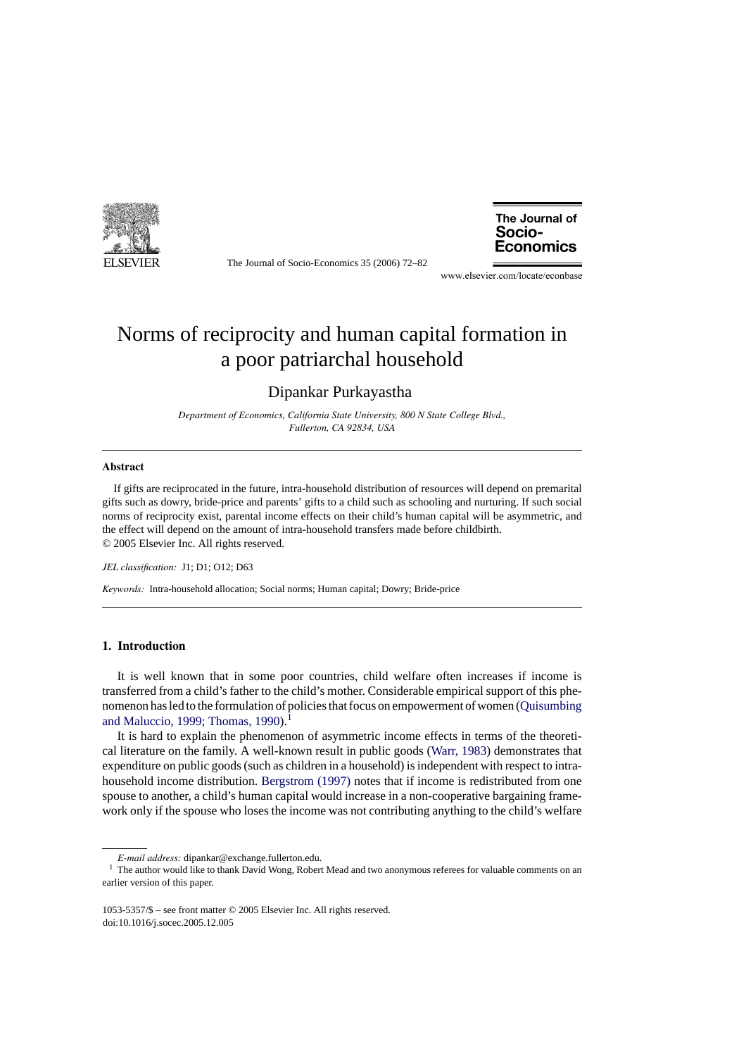

The Journal of Socio-Economics 35 (2006) 72–82

The Journal of Socio-Economics

www.elsevier.com/locate/econbase

## Norms of reciprocity and human capital formation in a poor patriarchal household

Dipankar Purkayastha

*Department of Economics, California State University, 800 N State College Blvd., Fullerton, CA 92834, USA*

#### **Abstract**

If gifts are reciprocated in the future, intra-household distribution of resources will depend on premarital gifts such as dowry, bride-price and parents' gifts to a child such as schooling and nurturing. If such social norms of reciprocity exist, parental income effects on their child's human capital will be asymmetric, and the effect will depend on the amount of intra-household transfers made before childbirth. © 2005 Elsevier Inc. All rights reserved.

*JEL classification:* J1; D1; O12; D63

*Keywords:* Intra-household allocation; Social norms; Human capital; Dowry; Bride-price

### **1. Introduction**

It is well known that in some poor countries, child welfare often increases if income is transferred from a child's father to the child's mother. Considerable empirical support of this phenomenon has led to the formulation of policies that focus on empowerment of women ([Quisumbing](#page--1-0) [and Maluccio, 1999; Thomas, 1990\).](#page--1-0)<sup>1</sup>

It is hard to explain the phenomenon of asymmetric income effects in terms of the theoretical literature on the family. A well-known result in public goods ([Warr, 1983\)](#page--1-0) demonstrates that expenditure on public goods (such as children in a household) is independent with respect to intrahousehold income distribution. [Bergstrom \(1997\)](#page--1-0) notes that if income is redistributed from one spouse to another, a child's human capital would increase in a non-cooperative bargaining framework only if the spouse who loses the income was not contributing anything to the child's welfare

*E-mail address:* dipankar@exchange.fullerton.edu.

<sup>&</sup>lt;sup>1</sup> The author would like to thank David Wong, Robert Mead and two anonymous referees for valuable comments on an earlier version of this paper.

<sup>1053-5357/\$ –</sup> see front matter © 2005 Elsevier Inc. All rights reserved. doi:10.1016/j.socec.2005.12.005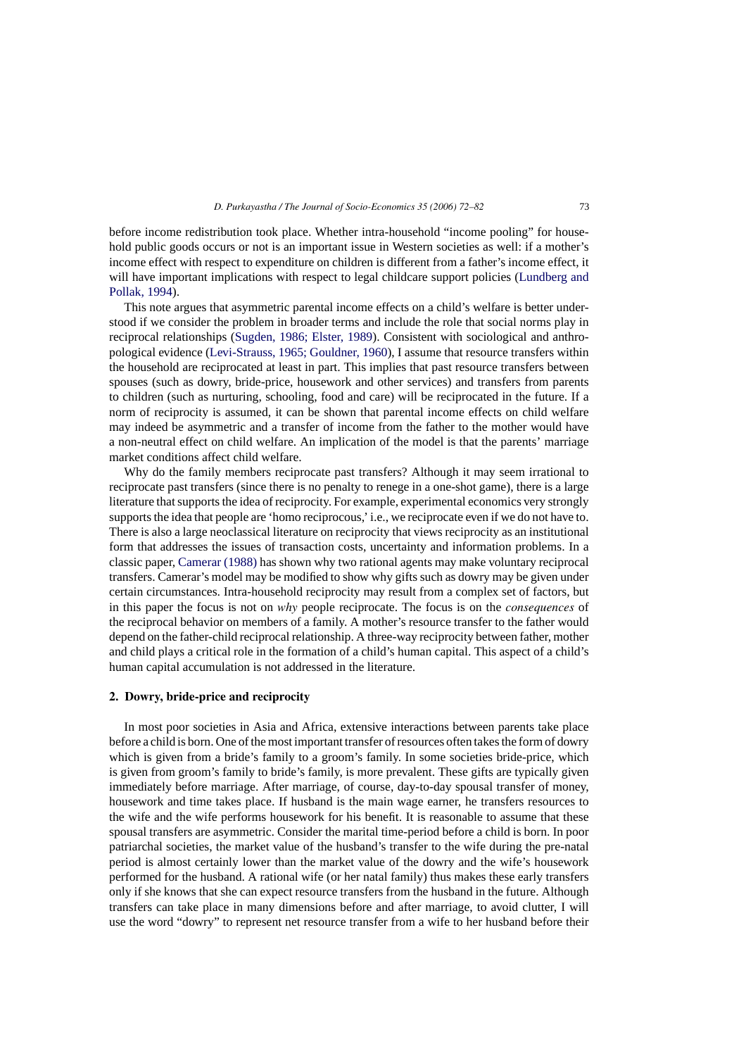before income redistribution took place. Whether intra-household "income pooling" for household public goods occurs or not is an important issue in Western societies as well: if a mother's income effect with respect to expenditure on children is different from a father's income effect, it will have important implications with respect to legal childcare support policies ([Lundberg and](#page--1-0) [Pollak, 1994\).](#page--1-0)

This note argues that asymmetric parental income effects on a child's welfare is better understood if we consider the problem in broader terms and include the role that social norms play in reciprocal relationships [\(Sugden, 1986; Elster, 1989\).](#page--1-0) Consistent with sociological and anthropological evidence [\(Levi-Strauss, 1965; Gouldner, 1960\),](#page--1-0) I assume that resource transfers within the household are reciprocated at least in part. This implies that past resource transfers between spouses (such as dowry, bride-price, housework and other services) and transfers from parents to children (such as nurturing, schooling, food and care) will be reciprocated in the future. If a norm of reciprocity is assumed, it can be shown that parental income effects on child welfare may indeed be asymmetric and a transfer of income from the father to the mother would have a non-neutral effect on child welfare. An implication of the model is that the parents' marriage market conditions affect child welfare.

Why do the family members reciprocate past transfers? Although it may seem irrational to reciprocate past transfers (since there is no penalty to renege in a one-shot game), there is a large literature that supports the idea of reciprocity. For example, experimental economics very strongly supports the idea that people are 'homo reciprocous,' i.e., we reciprocate even if we do not have to. There is also a large neoclassical literature on reciprocity that views reciprocity as an institutional form that addresses the issues of transaction costs, uncertainty and information problems. In a classic paper, [Camerar \(1988\)](#page--1-0) has shown why two rational agents may make voluntary reciprocal transfers. Camerar's model may be modified to show why gifts such as dowry may be given under certain circumstances. Intra-household reciprocity may result from a complex set of factors, but in this paper the focus is not on *why* people reciprocate. The focus is on the *consequences* of the reciprocal behavior on members of a family. A mother's resource transfer to the father would depend on the father-child reciprocal relationship. A three-way reciprocity between father, mother and child plays a critical role in the formation of a child's human capital. This aspect of a child's human capital accumulation is not addressed in the literature.

#### **2. Dowry, bride-price and reciprocity**

In most poor societies in Asia and Africa, extensive interactions between parents take place before a child is born. One of the most important transfer of resources often takes the form of dowry which is given from a bride's family to a groom's family. In some societies bride-price, which is given from groom's family to bride's family, is more prevalent. These gifts are typically given immediately before marriage. After marriage, of course, day-to-day spousal transfer of money, housework and time takes place. If husband is the main wage earner, he transfers resources to the wife and the wife performs housework for his benefit. It is reasonable to assume that these spousal transfers are asymmetric. Consider the marital time-period before a child is born. In poor patriarchal societies, the market value of the husband's transfer to the wife during the pre-natal period is almost certainly lower than the market value of the dowry and the wife's housework performed for the husband. A rational wife (or her natal family) thus makes these early transfers only if she knows that she can expect resource transfers from the husband in the future. Although transfers can take place in many dimensions before and after marriage, to avoid clutter, I will use the word "dowry" to represent net resource transfer from a wife to her husband before their